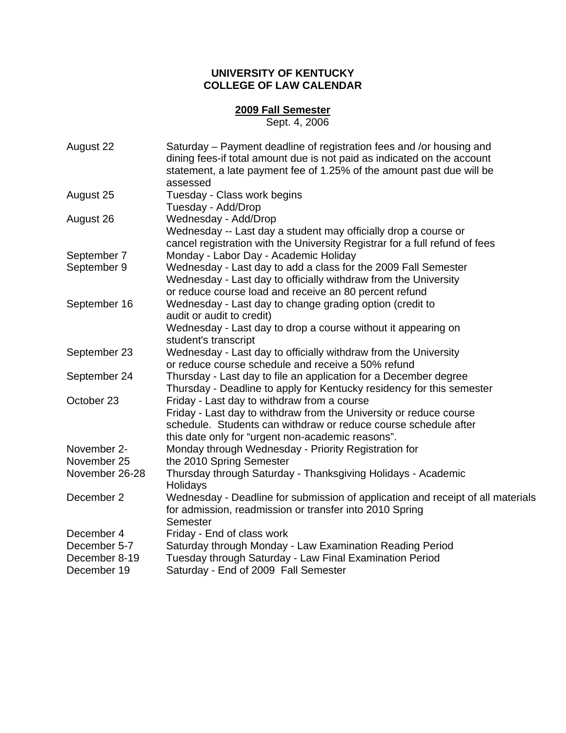## **UNIVERSITY OF KENTUCKY COLLEGE OF LAW CALENDAR**

## **2009 Fall Semester**

Sept. 4, 2006

| August 22      | Saturday – Payment deadline of registration fees and /or housing and<br>dining fees-if total amount due is not paid as indicated on the account |
|----------------|-------------------------------------------------------------------------------------------------------------------------------------------------|
|                | statement, a late payment fee of 1.25% of the amount past due will be                                                                           |
|                | assessed                                                                                                                                        |
| August 25      | Tuesday - Class work begins                                                                                                                     |
|                | Tuesday - Add/Drop                                                                                                                              |
| August 26      | Wednesday - Add/Drop                                                                                                                            |
|                | Wednesday -- Last day a student may officially drop a course or                                                                                 |
|                | cancel registration with the University Registrar for a full refund of fees                                                                     |
| September 7    | Monday - Labor Day - Academic Holiday                                                                                                           |
| September 9    | Wednesday - Last day to add a class for the 2009 Fall Semester                                                                                  |
|                | Wednesday - Last day to officially withdraw from the University                                                                                 |
|                | or reduce course load and receive an 80 percent refund                                                                                          |
| September 16   | Wednesday - Last day to change grading option (credit to                                                                                        |
|                | audit or audit to credit)                                                                                                                       |
|                | Wednesday - Last day to drop a course without it appearing on                                                                                   |
|                | student's transcript                                                                                                                            |
| September 23   | Wednesday - Last day to officially withdraw from the University                                                                                 |
|                | or reduce course schedule and receive a 50% refund                                                                                              |
| September 24   | Thursday - Last day to file an application for a December degree                                                                                |
|                | Thursday - Deadline to apply for Kentucky residency for this semester                                                                           |
| October 23     | Friday - Last day to withdraw from a course                                                                                                     |
|                | Friday - Last day to withdraw from the University or reduce course                                                                              |
|                | schedule. Students can withdraw or reduce course schedule after                                                                                 |
|                | this date only for "urgent non-academic reasons".                                                                                               |
| November 2-    | Monday through Wednesday - Priority Registration for                                                                                            |
| November 25    | the 2010 Spring Semester                                                                                                                        |
| November 26-28 | Thursday through Saturday - Thanksgiving Holidays - Academic                                                                                    |
|                | Holidays                                                                                                                                        |
| December 2     | Wednesday - Deadline for submission of application and receipt of all materials                                                                 |
|                | for admission, readmission or transfer into 2010 Spring                                                                                         |
|                | Semester                                                                                                                                        |
| December 4     | Friday - End of class work                                                                                                                      |
| December 5-7   | Saturday through Monday - Law Examination Reading Period                                                                                        |
| December 8-19  | Tuesday through Saturday - Law Final Examination Period                                                                                         |
| December 19    | Saturday - End of 2009 Fall Semester                                                                                                            |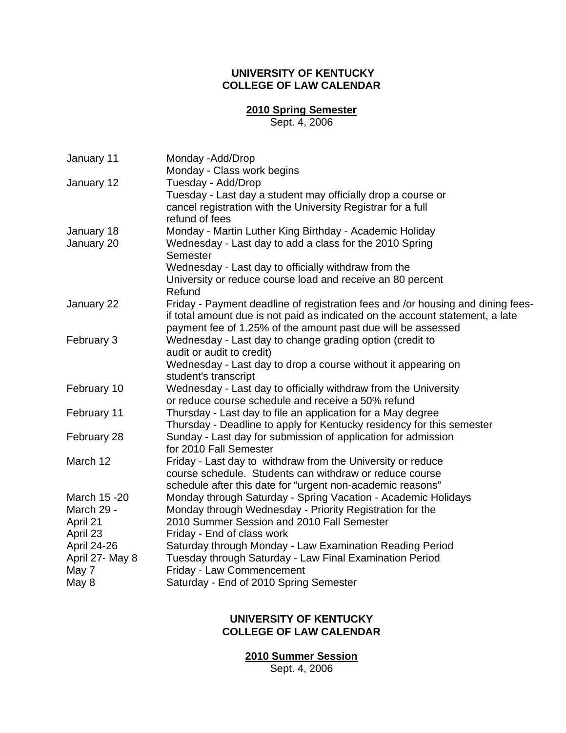# **UNIVERSITY OF KENTUCKY COLLEGE OF LAW CALENDAR**

### **2010 Spring Semester**

Sept. 4, 2006

| January 11         | Monday -Add/Drop                                                                |
|--------------------|---------------------------------------------------------------------------------|
|                    | Monday - Class work begins                                                      |
| January 12         | Tuesday - Add/Drop                                                              |
|                    | Tuesday - Last day a student may officially drop a course or                    |
|                    | cancel registration with the University Registrar for a full                    |
|                    | refund of fees                                                                  |
| January 18         | Monday - Martin Luther King Birthday - Academic Holiday                         |
| January 20         | Wednesday - Last day to add a class for the 2010 Spring<br>Semester             |
|                    | Wednesday - Last day to officially withdraw from the                            |
|                    | University or reduce course load and receive an 80 percent                      |
|                    | Refund                                                                          |
| January 22         | Friday - Payment deadline of registration fees and /or housing and dining fees- |
|                    | if total amount due is not paid as indicated on the account statement, a late   |
|                    | payment fee of 1.25% of the amount past due will be assessed                    |
| February 3         | Wednesday - Last day to change grading option (credit to                        |
|                    | audit or audit to credit)                                                       |
|                    | Wednesday - Last day to drop a course without it appearing on                   |
|                    | student's transcript                                                            |
| February 10        | Wednesday - Last day to officially withdraw from the University                 |
|                    | or reduce course schedule and receive a 50% refund                              |
| February 11        | Thursday - Last day to file an application for a May degree                     |
|                    | Thursday - Deadline to apply for Kentucky residency for this semester           |
| February 28        | Sunday - Last day for submission of application for admission                   |
|                    | for 2010 Fall Semester                                                          |
| March 12           | Friday - Last day to withdraw from the University or reduce                     |
|                    | course schedule. Students can withdraw or reduce course                         |
|                    | schedule after this date for "urgent non-academic reasons"                      |
| March 15 - 20      | Monday through Saturday - Spring Vacation - Academic Holidays                   |
| March 29 -         | Monday through Wednesday - Priority Registration for the                        |
| April 21           | 2010 Summer Session and 2010 Fall Semester                                      |
| April 23           | Friday - End of class work                                                      |
| <b>April 24-26</b> | Saturday through Monday - Law Examination Reading Period                        |
| April 27- May 8    | Tuesday through Saturday - Law Final Examination Period                         |
| May 7              | Friday - Law Commencement                                                       |
| May 8              | Saturday - End of 2010 Spring Semester                                          |

### **UNIVERSITY OF KENTUCKY COLLEGE OF LAW CALENDAR**

**2010 Summer Session**

Sept. 4, 2006